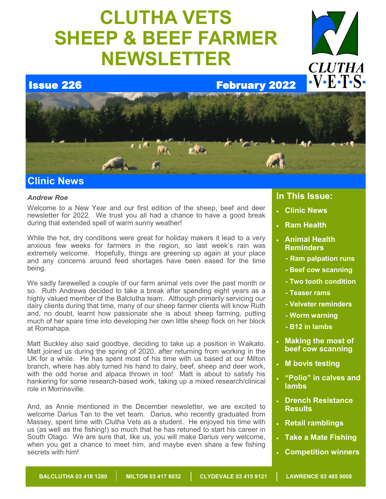# **CLUTHA VETS SHEEP & BEEF FARMER NEWSLETTER**



**Issue 226 February 2022** 



# *Andrew Roe*

Welcome to a New Year and our first edition of the sheep, beef and deer newsletter for 2022. We trust you all had a chance to have a good break during that extended spell of warm sunny weather!

While the hot, dry conditions were great for holiday makers it lead to a very anxious few weeks for farmers in the region, so last week's rain was extremely welcome. Hopefully, things are greening up again at your place and any concerns around feed shortages have been eased for the time being.

We sadly farewelled a couple of our farm animal vets over the past month or so. Ruth Andrews decided to take a break after spending eight years as a highly valued member of the Balclutha team. Although primarily servicing our dairy clients during that time, many of our sheep farmer clients will know Ruth and, no doubt, learnt how passionate she is about sheep farming, putting much of her spare time into developing her own little sheep flock on her block at Romahapa.

Matt Buckley also said goodbye, deciding to take up a position in Waikato. Matt ioined us during the spring of 2020, after returning from working in the UK for a while. He has spent most of his time with us based at our Milton branch, where has ably turned his hand to dairy, beef, sheep and deer work, with the odd horse and alpaca thrown in too! Matt is about to satisfy his hankering for some research-based work, taking up a mixed research/clinical role in Morrinsville.

And, as Annie mentioned in the December newsletter, we are excited to welcome Darius Tan to the vet team. Darius, who recently graduated from Massey, spent time with Clutha Vets as a student. He enjoyed his time with us (as well as the fishing!) so much that he has retuned to start his career in South Otago. We are sure that, like us, you will make Darius very welcome, when you get a chance to meet him, and maybe even share a few fishing secrets with him!

# **In This Issue:**

- **Clinic News**
- **Ram Health**
- **Animal Health Reminders**
	- **- Ram palpation runs**

**CLUTHA** 

 $\cdot$ V $\cdot$ E $\cdot$ T $\cdot$ S $\cdot$ 

- **- Beef cow scanning**
- **- Two tooth condition**
- **- Teaser rams**
- **- Velveter reminders**
- **- Worm warning**
- **- B12 in lambs**
- **Making the most of beef cow scanning**
- **M bovis testing**
- **"Polio" in calves and lambs**
- **Drench Resistance Results**
- **Retail ramblings**
- **Take a Mate Fishing**
- **Competition winners**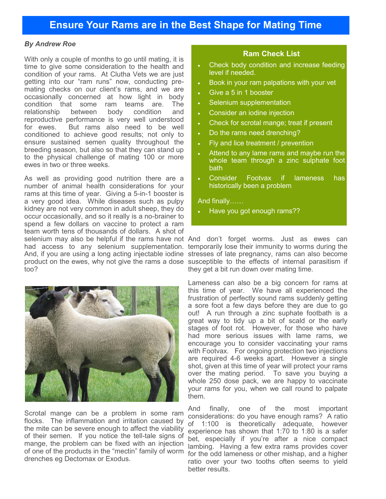# *By Andrew Roe*

With only a couple of months to go until mating, it is time to give some consideration to the health and condition of your rams. At Clutha Vets we are just getting into our "ram runs" now, conducting premating checks on our client's rams, and we are occasionally concerned at how light in body condition that some ram teams are. The relationship between body condition and reproductive performance is very well understood for ewes. But rams also need to be well conditioned to achieve good results; not only to ensure sustained semen quality throughout the breeding season, but also so that they can stand up to the physical challenge of mating 100 or more ewes in two or three weeks.

As well as providing good nutrition there are a number of animal health considerations for your rams at this time of year. Giving a 5-in-1 booster is a very good idea. While diseases such as pulpy kidney are not very common in adult sheep, they do occur occasionally, and so it really is a no-brainer to spend a few dollars on vaccine to protect a ram team worth tens of thousands of dollars. A shot of too?



Scrotal mange can be a problem in some ram flocks. The inflammation and irritation caused by the mite can be severe enough to affect the viability of their semen. If you notice the tell-tale signs of mange, the problem can be fixed with an injection of one of the products in the "mectin" family of worm drenches eg Dectomax or Exodus.

# **Ram Check List**

- Check body condition and increase feeding level if needed.
- Book in your ram palpations with your vet
- Give a 5 in 1 booster
- Selenium supplementation
- Consider an iodine injection
- Check for scrotal mange; treat if present
- Do the rams need drenching?
- Fly and lice treatment / prevention
- Attend to any lame rams and maybe run the whole team through a zinc sulphate foot bath
- Consider Footvax if lameness has historically been a problem

And finally……

Have you got enough rams??

selenium may also be helpful if the rams have not And don't forget worms. Just as ewes can had access to any selenium supplementation. temporarily lose their immunity to worms during the And, if you are using a long acting injectable iodine stresses of late pregnancy, rams can also become product on the ewes, why not give the rams a dose susceptible to the effects of internal parasitism if they get a bit run down over mating time.

> Lameness can also be a big concern for rams at this time of year. We have all experienced the frustration of perfectly sound rams suddenly getting a sore foot a few days before they are due to go out! A run through a zinc suphate footbath is a great way to tidy up a bit of scald or the early stages of foot rot. However, for those who have had more serious issues with lame rams, we encourage you to consider vaccinating your rams with Footvax. For ongoing protection two injections are required 4-6 weeks apart. However a single shot, given at this time of year will protect your rams over the mating period. To save you buying a whole 250 dose pack, we are happy to vaccinate your rams for you, when we call round to palpate them.

> And finally, one of the most important considerations: do you have enough rams? A ratio of 1:100 is theoretically adequate, however experience has shown that 1:70 to 1:80 is a safer bet, especially if you're after a nice compact lambing. Having a few extra rams provides cover for the odd lameness or other mishap, and a higher ratio over your two tooths often seems to yield better results.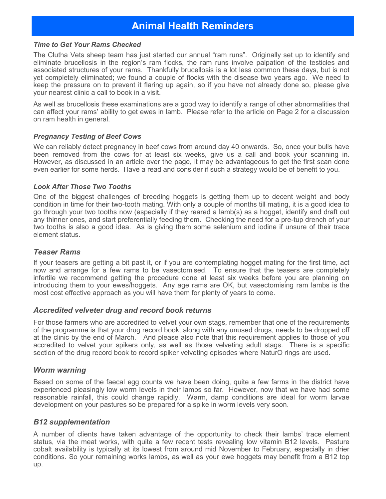# **Animal Health Reminders**

#### *Time to Get Your Rams Checked*

The Clutha Vets sheep team has just started our annual "ram runs". Originally set up to identify and eliminate brucellosis in the region's ram flocks, the ram runs involve palpation of the testicles and associated structures of your rams. Thankfully brucellosis is a lot less common these days, but is not yet completely eliminated; we found a couple of flocks with the disease two years ago. We need to keep the pressure on to prevent it flaring up again, so if you have not already done so, please give your nearest clinic a call to book in a visit.

As well as brucellosis these examinations are a good way to identify a range of other abnormalities that can affect your rams' ability to get ewes in lamb. Please refer to the article on Page 2 for a discussion on ram health in general.

# *Pregnancy Testing of Beef Cows*

We can reliably detect pregnancy in beef cows from around day 40 onwards. So, once your bulls have been removed from the cows for at least six weeks, give us a call and book your scanning in. However, as discussed in an article over the page, it may be advantageous to get the first scan done even earlier for some herds. Have a read and consider if such a strategy would be of benefit to you.

# *Look After Those Two Tooths*

One of the biggest challenges of breeding hoggets is getting them up to decent weight and body condition in time for their two-tooth mating. With only a couple of months till mating, it is a good idea to go through your two tooths now (especially if they reared a lamb(s) as a hogget, identify and draft out any thinner ones, and start preferentially feeding them. Checking the need for a pre-tup drench of your two tooths is also a good idea. As is giving them some selenium and iodine if unsure of their trace element status.

# *Teaser Rams*

If your teasers are getting a bit past it, or if you are contemplating hogget mating for the first time, act now and arrange for a few rams to be vasectomised. To ensure that the teasers are completely infertile we recommend getting the procedure done at least six weeks before you are planning on introducing them to your ewes/hoggets. Any age rams are OK, but vasectomising ram lambs is the most cost effective approach as you will have them for plenty of years to come.

# *Accredited velveter drug and record book returns*

For those farmers who are accredited to velvet your own stags, remember that one of the requirements of the programme is that your drug record book, along with any unused drugs, needs to be dropped off at the clinic by the end of March. And please also note that this requirement applies to those of you accredited to velvet your spikers only, as well as those velveting adult stags. There is a specific section of the drug record book to record spiker velveting episodes where NaturO rings are used.

# *Worm warning*

Based on some of the faecal egg counts we have been doing, quite a few farms in the district have experienced pleasingly low worm levels in their lambs so far. However, now that we have had some reasonable rainfall, this could change rapidly. Warm, damp conditions are ideal for worm larvae development on your pastures so be prepared for a spike in worm levels very soon.

# *B12 supplementation*

A number of clients have taken advantage of the opportunity to check their lambs' trace element status, via the meat works, with quite a few recent tests revealing low vitamin B12 levels. Pasture cobalt availability is typically at its lowest from around mid November to February, especially in drier conditions. So your remaining works lambs, as well as your ewe hoggets may benefit from a B12 top up.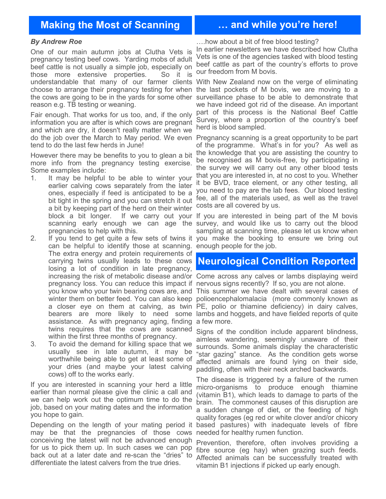# **Making the Most of Scanning … and while you're here!**

#### *By Andrew Roe*

One of our main autumn jobs at Clutha Vets is pregnancy testing beef cows. Yarding mobs of adult beef cattle is not usually a simple job, especially on those more extensive properties. So it is understandable that many of our farmer clients With New Zealand now on the verge of eliminating choose to arrange their pregnancy testing for when the last pockets of M bovis, we are moving to a the cows are going to be in the yards for some other surveillance phase to be able to demonstrate that reason e.g. TB testing or weaning.

Fair enough. That works for us too, and, if the only information you are after is which cows are pregnant and which are dry, it doesn't really matter when we do the job over the March to May period. We even Pregnancy scanning is a great opportunity to be part tend to do the last few herds in June!

However there may be benefits to you to glean a bit more info from the pregnancy testing exercise. Some examples include:

1. It may be helpful to be able to winter your earlier calving cows separately from the later ones, especially if feed is anticipated to be a bit tight in the spring and you can stretch it out a bit by keeping part of the herd on their winter pregnancies to help with this.

2. If you tend to get quite a few sets of twins it can be helpful to identify those at scanning. The extra energy and protein requirements of carrying twins usually leads to these cows losing a lot of condition in late pregnancy, pregnancy loss. You can reduce this impact if nervous signs recently? If so, you are not alone. assistance. As with pregnancy aging, finding a few more. twins requires that the cows are scanned within the first three months of pregnancy.

3. To avoid the demand for killing space that we usually see in late autumn, it may be worthwhile being able to get at least some of your dries (and maybe your latest calving cows) off to the works early.

If you are interested in scanning your herd a little earlier than normal please give the clinic a call and we can help work out the optimum time to do the job, based on your mating dates and the information you hope to gain.

Depending on the length of your mating period it may be that the pregnancies of those cows needed for healthy rumen function. conceiving the latest will not be advanced enough for us to pick them up. In such cases we can pop back out at a later date and re-scan the "dries" to differentiate the latest calvers from the true dries.

….how about a bit of free blood testing?

In earlier newsletters we have described how Clutha Vets is one of the agencies tasked with blood testing beef cattle as part of the country's efforts to prove our freedom from M bovis.

we have indeed got rid of the disease. An important part of this process is the National Beef Cattle Survey, where a proportion of the country's beef herd is blood sampled.

of the programme. What's in for you? As well as the knowledge that you are assisting the country to be recognised as M bovis-free, by participating in the survey we will carry out any other blood tests that you are interested in, at no cost to you. Whether it be BVD, trace element, or any other testing, all you need to pay are the lab fees. Our blood testing fee, all of the materials used, as well as the travel costs are all covered by us.

block a bit longer. If we carry out your If you are interested in being part of the M bovis scanning early enough we can age the survey, and would like us to carry out the blood sampling at scanning time, please let us know when you make the booking to ensure we bring out enough people for the job.

# **Neurological Condition Reported**

increasing the risk of metabolic disease and/or Come across any calves or lambs displaying weird

you know who your twin bearing cows are, and This summer we have dealt with several cases of winter them on better feed. You can also keep polioencephalomalacia (more commonly known as a closer eye on them at calving, as twin PE, polio or thiamine deficiency) in dairy calves, bearers are more likely to need some lambs and hoggets, and have fielded reports of quite

> Signs of the condition include apparent blindness, aimless wandering, seemingly unaware of their surrounds. Some animals display the characteristic "star gazing" stance. As the condition gets worse affected animals are found lying on their side, paddling, often with their neck arched backwards.

> The disease is triggered by a failure of the rumen micro-organisms to produce enough thiamine (vitamin B1), which leads to damage to parts of the brain. The commonest causes of this disruption are a sudden change of diet, or the feeding of high quality forages (eg red or white clover and/or chicory based pastures) with inadequate levels of fibre

> Prevention, therefore, often involves providing a fibre source (eg hay) when grazing such feeds. Affected animals can be successfully treated with vitamin B1 injections if picked up early enough.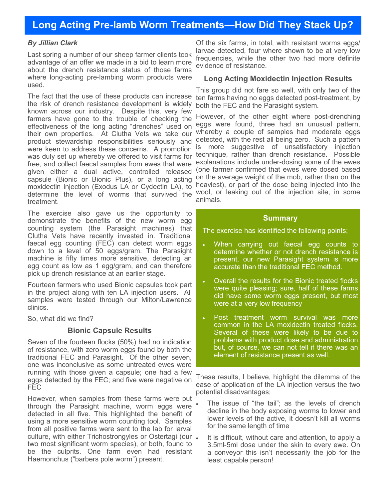# **Long Acting Pre-lamb Worm Treatments—How Did They Stack Up?**

#### *By Jillian Clark*

Last spring a number of our sheep farmer clients took advantage of an offer we made in a bid to learn more about the drench resistance status of those farms where long-acting pre-lambing worm products were used.

The fact that the use of these products can increase the risk of drench resistance development is widely known across our industry. Despite this, very few farmers have gone to the trouble of checking the effectiveness of the long acting "drenches" used on their own properties. At Clutha Vets we take our product stewardship responsibilities seriously and were keen to address these concerns. A promotion was duly set up whereby we offered to visit farms for free, and collect faecal samples from ewes that were given either a dual active, controlled released capsule (Bionic or Bionic Plus), or a long acting moxidectin injection (Exodus LA or Cydectin LA), to determine the level of worms that survived the treatment.

The exercise also gave us the opportunity to demonstrate the benefits of the new worm egg counting system (the Parasight machines) that Clutha Vets have recently invested in. Traditional faecal egg counting (FEC) can detect worm eggs down to a level of 50 eggs/gram. The Parasight machine is fifty times more sensitive, detecting an egg count as low as 1 egg/gram, and can therefore pick up drench resistance at an earlier stage.

Fourteen farmers who used Bionic capsules took part in the project along with ten LA injection users. All samples were tested through our Milton/Lawrence clinics.

So, what did we find?

#### **Bionic Capsule Results**

Seven of the fourteen flocks (50%) had no indication of resistance, with zero worm eggs found by both the traditional FEC and Parasight. Of the other seven, one was inconclusive as some untreated ewes were running with those given a capsule; one had a few eggs detected by the FEC; and five were negative on FEC

However, when samples from these farms were put through the Parasight machine, worm eggs were detected in all five. This highlighted the benefit of using a more sensitive worm counting tool. Samples from all positive farms were sent to the lab for larval culture, with either Trichostrongyles or Ostertagi (our . two most significant worm species), or both, found to be the culprits. One farm even had resistant Haemonchus ("barbers pole worm") present.

Of the six farms, in total, with resistant worms eggs/ larvae detected, four where shown to be at very low frequencies, while the other two had more definite evidence of resistance.

#### **Long Acting Moxidectin Injection Results**

This group did not fare so well, with only two of the ten farms having no eggs detected post-treatment, by both the FEC and the Parasight system.

However, of the other eight where post-drenching eggs were found, three had an unusual pattern, whereby a couple of samples had moderate eggs detected, with the rest all being zero. Such a pattern is more suggestive of unsatisfactory injection technique, rather than drench resistance. Possible explanations include under-dosing some of the ewes (one farmer confirmed that ewes were dosed based on the average weight of the mob, rather than on the heaviest), or part of the dose being injected into the wool, or leaking out of the injection site, in some animals.

#### **Summary**

The exercise has identified the following points;

- When carrying out faecal egg counts to determine whether or not drench resistance is present, our new Parasight system is more accurate than the traditional FEC method.
- Overall the results for the Bionic treated flocks were quite pleasing; sure, half of these farms did have some worm eggs present, but most were at a very low frequency
- Post treatment worm survival was more common in the LA moxidectin treated flocks. Several of these were likely to be due to problems with product dose and administration but, of course, we can not tell if there was an element of resistance present as well.

These results, I believe, highlight the dilemma of the ease of application of the LA injection versus the two potential disadvantages;

- The issue of "the tail"; as the levels of drench decline in the body exposing worms to lower and lower levels of the active, it doesn't kill all worms for the same length of time
- It is difficult, without care and attention, to apply a 3.5ml-5ml dose under the skin to every ewe. On a conveyor this isn't necessarily the job for the least capable person!